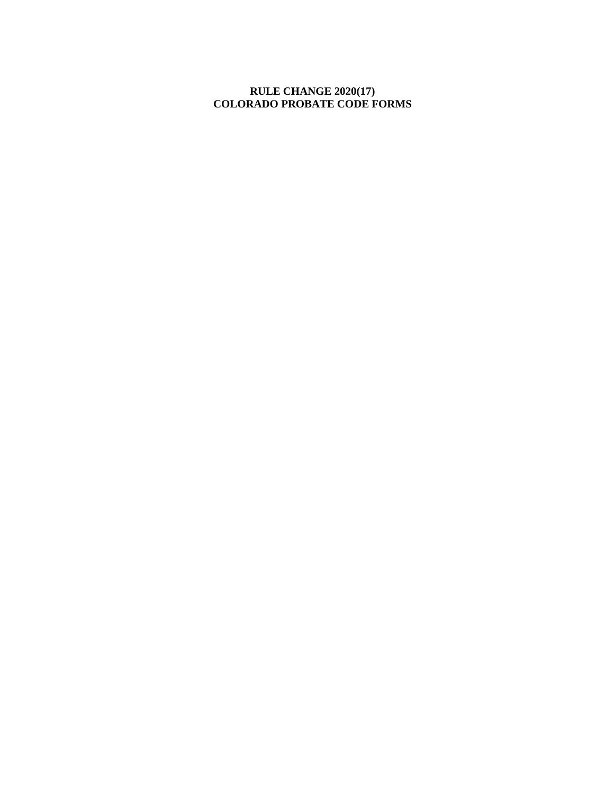## **RULE CHANGE 2020(17) COLORADO PROBATE CODE FORMS**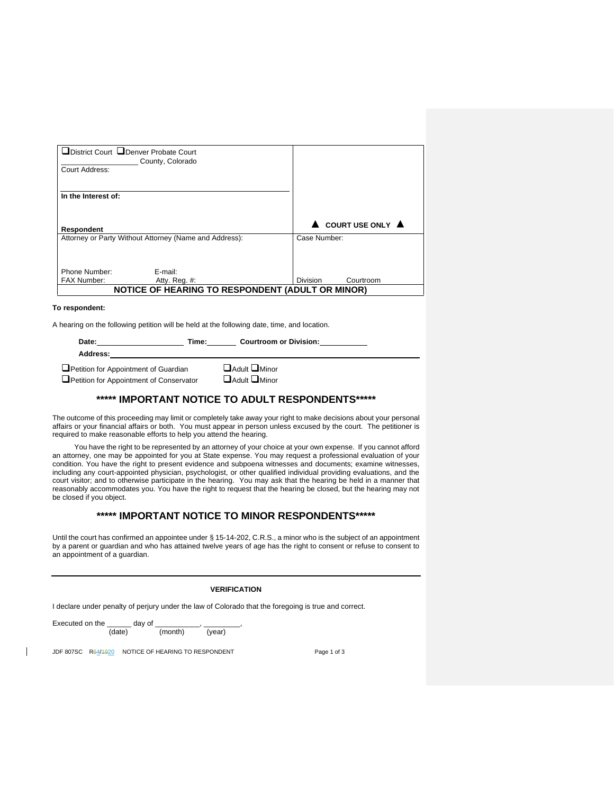| District Court LDenver Probate Court<br>Court Address: | County, Colorado                                       |                              |
|--------------------------------------------------------|--------------------------------------------------------|------------------------------|
| In the Interest of:                                    |                                                        |                              |
| Respondent                                             |                                                        | COURT USE ONLY A             |
|                                                        | Attorney or Party Without Attorney (Name and Address): | Case Number:                 |
|                                                        |                                                        |                              |
| Phone Number:                                          | E-mail:                                                |                              |
| <b>FAX Number:</b>                                     | Atty. Reg. #:                                          | <b>Division</b><br>Courtroom |
|                                                        | NOTICE OF HEARING TO RESPONDENT (ADULT OR MINOR)       |                              |

#### **To respondent:**

A hearing on the following petition will be held at the following date, time, and location.

| Date:                                   | Time: | <b>Courtroom or Division:</b> |  |
|-----------------------------------------|-------|-------------------------------|--|
| Address:                                |       |                               |  |
| Petition for Appointment of Guardian    |       | $\Box$ Adult $\Box$ Minor     |  |
| Petition for Appointment of Conservator |       | <b>HAdult HMinor</b>          |  |

#### **\*\*\*\*\* IMPORTANT NOTICE TO ADULT RESPONDENTS\*\*\*\*\***

The outcome of this proceeding may limit or completely take away your right to make decisions about your personal affairs or your financial affairs or both. You must appear in person unless excused by the court. The petitioner is required to make reasonable efforts to help you attend the hearing.

You have the right to be represented by an attorney of your choice at your own expense. If you cannot afford an attorney, one may be appointed for you at State expense. You may request a professional evaluation of your condition. You have the right to present evidence and subpoena witnesses and documents; examine witnesses, including any court-appointed physician, psychologist, or other qualified individual providing evaluations, and the court visitor; and to otherwise participate in the hearing. You may ask that the hearing be held in a manner that reasonably accommodates you. You have the right to request that the hearing be closed, but the hearing may not be closed if you object.

#### **\*\*\*\*\* IMPORTANT NOTICE TO MINOR RESPONDENTS\*\*\*\*\***

Until the court has confirmed an appointee under § 15-14-202, C.R.S., a minor who is the subject of an appointment by a parent or guardian and who has attained twelve years of age has the right to consent or refuse to consent to an appointment of a guardian.

#### **VERIFICATION**

I declare under penalty of perjury under the law of Colorado that the foregoing is true and correct.

Executed on the \_\_\_\_\_\_\_ day of \_\_\_\_\_\_\_\_\_\_\_, \_\_\_\_\_\_\_\_\_, (date) (month) (year)

JDF 807SC R64/4920 NOTICE OF HEARING TO RESPONDENT Page 1 of 3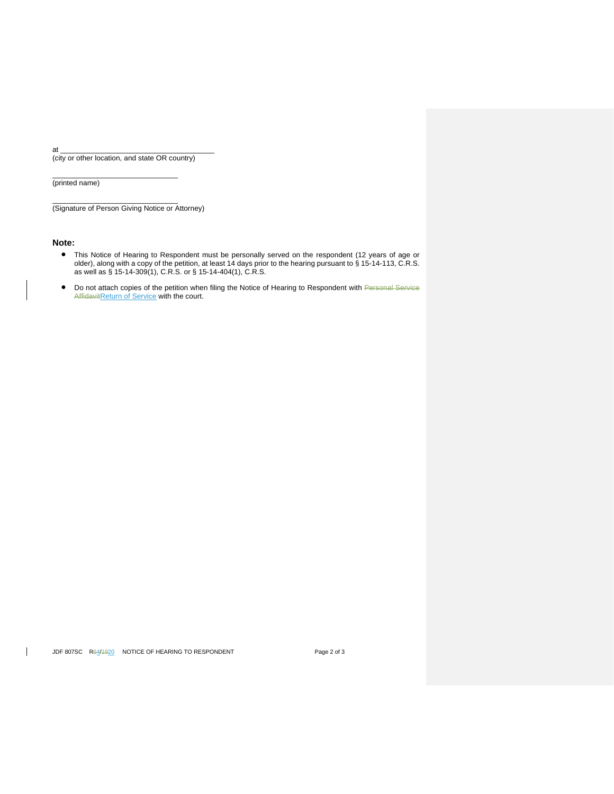at \_\_\_\_\_\_\_\_\_\_\_\_\_\_\_\_\_\_\_\_\_\_\_\_\_\_\_\_\_\_\_\_\_\_\_\_\_\_ (city or other location, and state OR country)

 $\frac{1}{2}$  ,  $\frac{1}{2}$  ,  $\frac{1}{2}$  ,  $\frac{1}{2}$  ,  $\frac{1}{2}$  ,  $\frac{1}{2}$  ,  $\frac{1}{2}$  ,  $\frac{1}{2}$  ,  $\frac{1}{2}$  ,  $\frac{1}{2}$  ,  $\frac{1}{2}$  ,  $\frac{1}{2}$  ,  $\frac{1}{2}$  ,  $\frac{1}{2}$  ,  $\frac{1}{2}$  ,  $\frac{1}{2}$  ,  $\frac{1}{2}$  ,  $\frac{1}{2}$  ,  $\frac{1$ 

 $\frac{1}{2}$  ,  $\frac{1}{2}$  ,  $\frac{1}{2}$  ,  $\frac{1}{2}$  ,  $\frac{1}{2}$  ,  $\frac{1}{2}$  ,  $\frac{1}{2}$  ,  $\frac{1}{2}$  ,  $\frac{1}{2}$  ,  $\frac{1}{2}$  ,  $\frac{1}{2}$  ,  $\frac{1}{2}$  ,  $\frac{1}{2}$  ,  $\frac{1}{2}$  ,  $\frac{1}{2}$  ,  $\frac{1}{2}$  ,  $\frac{1}{2}$  ,  $\frac{1}{2}$  ,  $\frac{1$ 

(printed name)

(Signature of Person Giving Notice or Attorney)

#### **Note:**

- This Notice of Hearing to Respondent must be personally served on the respondent (12 years of age or older), along with a copy of the petition, at least 14 days prior to the hearing pursuant to § 15-14-113, C.R.S. as well as § 15-14-309(1), C.R.S. or § 15-14-404(1), C.R.S.
- Do not attach copies of the petition when filing the Notice of Hearing to Respondent with Personal Service<br>AffidavitReturn of Service with the court.

 $\mathsf{I}$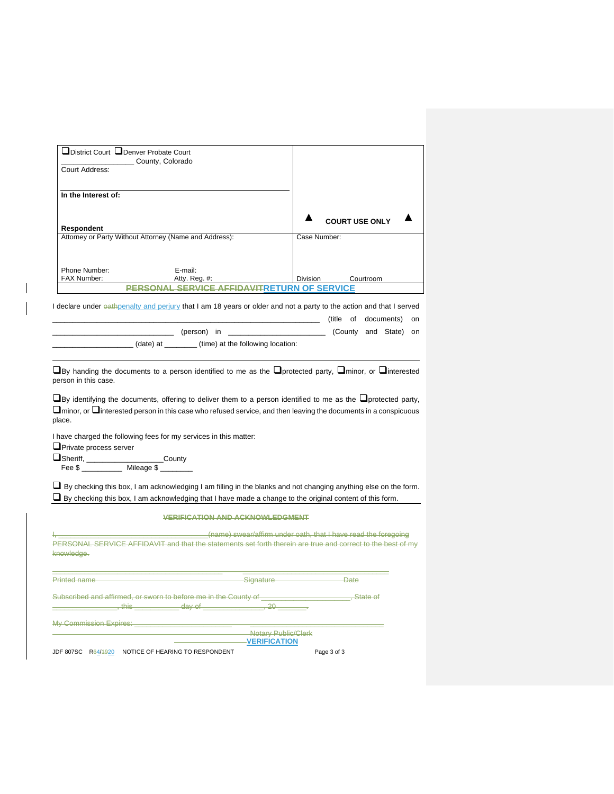| District Court Denver Probate Court                               |                                                                   |                                                                                                                                                                                                                                                                                                                                                                                                              |  |
|-------------------------------------------------------------------|-------------------------------------------------------------------|--------------------------------------------------------------------------------------------------------------------------------------------------------------------------------------------------------------------------------------------------------------------------------------------------------------------------------------------------------------------------------------------------------------|--|
| Court Address:                                                    | County, Colorado                                                  |                                                                                                                                                                                                                                                                                                                                                                                                              |  |
|                                                                   |                                                                   |                                                                                                                                                                                                                                                                                                                                                                                                              |  |
| In the Interest of:                                               |                                                                   |                                                                                                                                                                                                                                                                                                                                                                                                              |  |
|                                                                   |                                                                   |                                                                                                                                                                                                                                                                                                                                                                                                              |  |
|                                                                   |                                                                   |                                                                                                                                                                                                                                                                                                                                                                                                              |  |
| Respondent                                                        |                                                                   | <b>COURT USE ONLY</b>                                                                                                                                                                                                                                                                                                                                                                                        |  |
|                                                                   | Attorney or Party Without Attorney (Name and Address):            | Case Number:                                                                                                                                                                                                                                                                                                                                                                                                 |  |
|                                                                   |                                                                   |                                                                                                                                                                                                                                                                                                                                                                                                              |  |
|                                                                   |                                                                   |                                                                                                                                                                                                                                                                                                                                                                                                              |  |
| Phone Number:<br>FAX Number:                                      | E-mail:<br>Atty. Reg. #:                                          | Division<br>Courtroom                                                                                                                                                                                                                                                                                                                                                                                        |  |
|                                                                   | <b>PERSONAL SERVICE AFFIDAVITRETURN OF SERVICE</b>                |                                                                                                                                                                                                                                                                                                                                                                                                              |  |
|                                                                   |                                                                   |                                                                                                                                                                                                                                                                                                                                                                                                              |  |
|                                                                   |                                                                   | I declare under eathpenalty and perjury that I am 18 years or older and not a party to the action and that I served                                                                                                                                                                                                                                                                                          |  |
|                                                                   |                                                                   | (title of documents) on                                                                                                                                                                                                                                                                                                                                                                                      |  |
|                                                                   | _________ (person) in _________                                   | (County and State) on                                                                                                                                                                                                                                                                                                                                                                                        |  |
|                                                                   | (date) at ______(time) at the following location:                 |                                                                                                                                                                                                                                                                                                                                                                                                              |  |
|                                                                   |                                                                   | $\square$ By handing the documents to a person identified to me as the $\square$ protected party, $\square$ minor, or $\square$ interested<br>$\Box$ By identifying the documents, offering to deliver them to a person identified to me as the $\Box$ protected party,<br>$\square$ minor, or $\square$ interested person in this case who refused service, and then leaving the documents in a conspicuous |  |
|                                                                   | I have charged the following fees for my services in this matter: | ∟ By checking this box, I am acknowledging I am filling in the blanks and not changing anything else on the form.                                                                                                                                                                                                                                                                                            |  |
|                                                                   | <b>VERIFICATION AND ACKNOWLEDGMENT</b>                            | □ By checking this box, I am acknowledging that I have made a change to the original content of this form.                                                                                                                                                                                                                                                                                                   |  |
| person in this case.<br>place.<br><b>I</b> Private process server |                                                                   |                                                                                                                                                                                                                                                                                                                                                                                                              |  |
|                                                                   |                                                                   | (name) swear/affirm under oath, that I have read the foregoing<br>PERSONAL SERVICE AFFIDAVIT and that the statements set forth therein are true and correct to the best of my                                                                                                                                                                                                                                |  |
|                                                                   |                                                                   | Signature Date                                                                                                                                                                                                                                                                                                                                                                                               |  |
| knowledge.<br>Printed name                                        | $\frac{1}{20}$ , this $\frac{1}{20}$ day of                       |                                                                                                                                                                                                                                                                                                                                                                                                              |  |
|                                                                   |                                                                   |                                                                                                                                                                                                                                                                                                                                                                                                              |  |
| My Commission Expires: <b>My Commission Expires:</b>              |                                                                   | Notary Public/Clerk                                                                                                                                                                                                                                                                                                                                                                                          |  |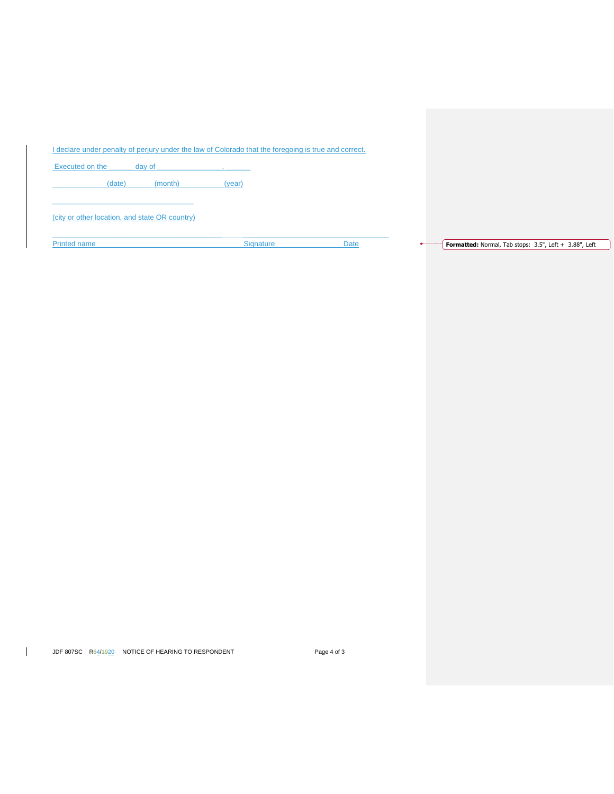I declare under penalty of perjury under the law of Colorado that the foregoing is true and correct.

 $\_$  . The contribution of the contribution of the contribution of the contribution of the contribution of the contribution of  $\mathcal{L}_\text{max}$ 

Executed on the day of the day of the state of the state of the state of the state of the state of the state of the state of the state of the state of the state of the state of the state of the state of the state of the st

(date) (month) (year)

 $\mathcal{L}_\text{max}$  and  $\mathcal{L}_\text{max}$  and  $\mathcal{L}_\text{max}$  and  $\mathcal{L}_\text{max}$ (city or other location, and state OR country)

Printed name **Example 2.5 Signature** Signature Date Date **Formatted:** Normal, Tab stops: 3.5", Left + 3.88", Left + 3.88", Left + 3.98", Left + 3.98", Left + 3.98", Left + 3.98", Left + 3.98", Left + 3.98", Left + 3.98", L

JDF 807SC R64/1920 NOTICE OF HEARING TO RESPONDENT Page 4 of 3

 $\mathbf{I}$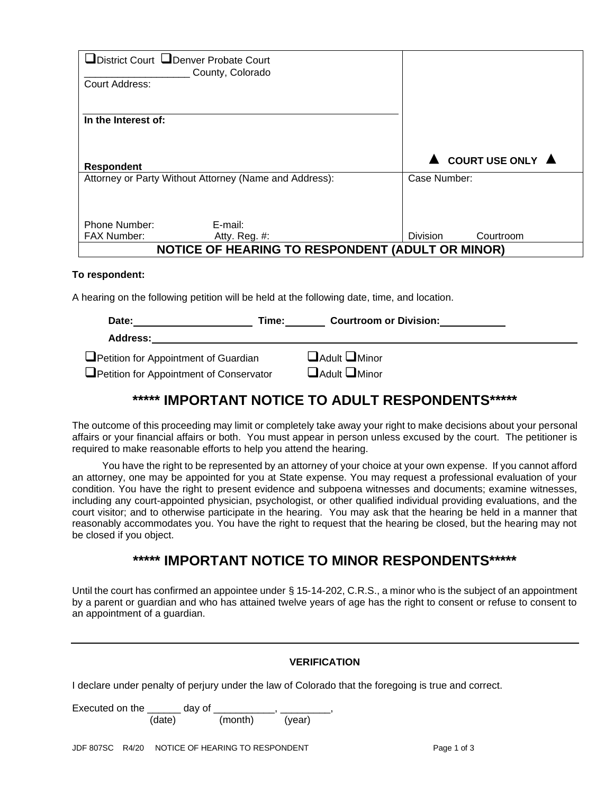| □District Court □Denver Probate Court<br><b>Court Address:</b> | County, Colorado                                        |                              |
|----------------------------------------------------------------|---------------------------------------------------------|------------------------------|
| In the Interest of:                                            |                                                         |                              |
| <b>Respondent</b>                                              |                                                         | COURT USE ONLY A             |
|                                                                | Attorney or Party Without Attorney (Name and Address):  | Case Number:                 |
|                                                                |                                                         |                              |
| Phone Number:                                                  | E-mail:                                                 |                              |
| <b>FAX Number:</b>                                             | Atty. Reg. #:                                           | <b>Division</b><br>Courtroom |
|                                                                | <b>NOTICE OF HEARING TO RESPONDENT (ADULT OR MINOR)</b> |                              |

#### **To respondent:**

A hearing on the following petition will be held at the following date, time, and location.

| Date:<br>Time:                          | <b>Courtroom or Division:</b> |
|-----------------------------------------|-------------------------------|
| Address:                                |                               |
| Petition for Appointment of Guardian    | $\Box$ Adult $\Box$ Minor     |
| Petition for Appointment of Conservator | $\Box$ Adult $\Box$ Minor     |

# **\*\*\*\*\* IMPORTANT NOTICE TO ADULT RESPONDENTS\*\*\*\*\***

The outcome of this proceeding may limit or completely take away your right to make decisions about your personal affairs or your financial affairs or both. You must appear in person unless excused by the court. The petitioner is required to make reasonable efforts to help you attend the hearing.

You have the right to be represented by an attorney of your choice at your own expense. If you cannot afford an attorney, one may be appointed for you at State expense. You may request a professional evaluation of your condition. You have the right to present evidence and subpoena witnesses and documents; examine witnesses, including any court-appointed physician, psychologist, or other qualified individual providing evaluations, and the court visitor; and to otherwise participate in the hearing. You may ask that the hearing be held in a manner that reasonably accommodates you. You have the right to request that the hearing be closed, but the hearing may not be closed if you object.

# **\*\*\*\*\* IMPORTANT NOTICE TO MINOR RESPONDENTS\*\*\*\*\***

Until the court has confirmed an appointee under § 15-14-202, C.R.S., a minor who is the subject of an appointment by a parent or guardian and who has attained twelve years of age has the right to consent or refuse to consent to an appointment of a guardian.

|                                                                                                                                     | <b>VERIFICATION</b>                                                                                  |  |
|-------------------------------------------------------------------------------------------------------------------------------------|------------------------------------------------------------------------------------------------------|--|
|                                                                                                                                     | I declare under penalty of perjury under the law of Colorado that the foregoing is true and correct. |  |
| Executed on the day of the control of the second second second the second second second second second second s<br>(date)<br>(month) | (year)                                                                                               |  |
| JDF 807SC R4/20 NOTICE OF HEARING TO RESPONDENT                                                                                     | Page 1 of 3                                                                                          |  |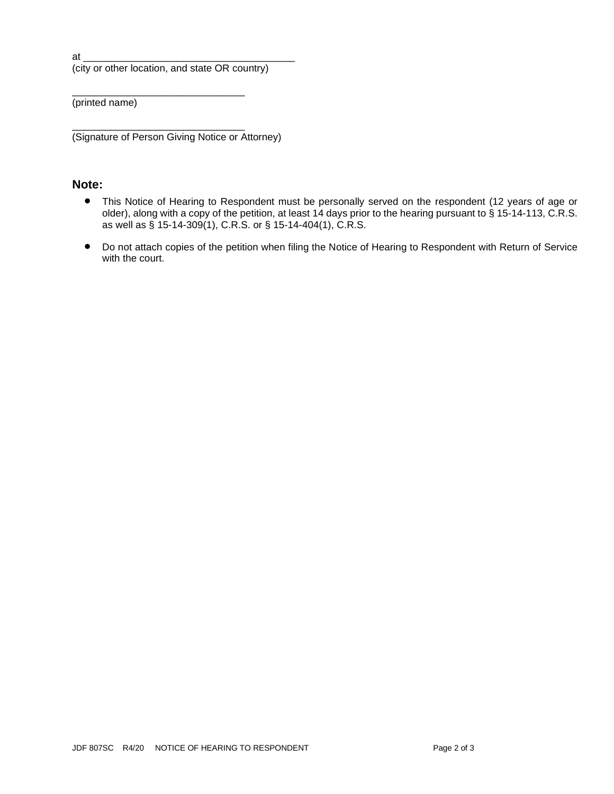at \_\_\_\_\_\_\_\_\_\_\_\_\_\_\_\_\_\_\_\_\_\_\_\_\_\_\_\_\_\_\_\_\_\_\_\_\_\_

(city or other location, and state OR country)

\_\_\_\_\_\_\_\_\_\_\_\_\_\_\_\_\_\_\_\_\_\_\_\_\_\_\_\_\_\_\_

(printed name)

\_\_\_\_\_\_\_\_\_\_\_\_\_\_\_\_\_\_\_\_\_\_\_\_\_\_\_\_\_\_\_ (Signature of Person Giving Notice or Attorney)

## **Note:**

- This Notice of Hearing to Respondent must be personally served on the respondent (12 years of age or older), along with a copy of the petition, at least 14 days prior to the hearing pursuant to § 15-14-113, C.R.S. as well as § 15-14-309(1), C.R.S. or § 15-14-404(1), C.R.S.
- Do not attach copies of the petition when filing the Notice of Hearing to Respondent with Return of Service with the court.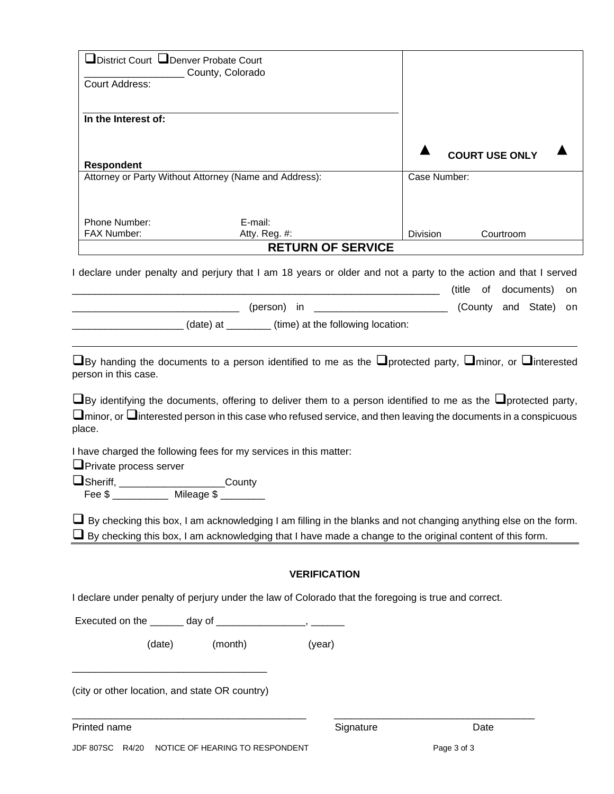| □District Court □Denver Probate Court<br>County, Colorado                                                       |                 |           |                       |                    |    |
|-----------------------------------------------------------------------------------------------------------------|-----------------|-----------|-----------------------|--------------------|----|
| Court Address:                                                                                                  |                 |           |                       |                    |    |
| In the Interest of:                                                                                             |                 |           |                       |                    |    |
|                                                                                                                 |                 |           |                       |                    |    |
|                                                                                                                 |                 |           | <b>COURT USE ONLY</b> |                    |    |
| <b>Respondent</b>                                                                                               |                 |           |                       |                    |    |
| Attorney or Party Without Attorney (Name and Address):                                                          | Case Number:    |           |                       |                    |    |
| Phone Number:<br>E-mail:                                                                                        |                 |           |                       |                    |    |
| FAX Number:<br>Atty. Reg. #:                                                                                    | <b>Division</b> |           | Courtroom             |                    |    |
| <b>RETURN OF SERVICE</b>                                                                                        |                 |           |                       |                    |    |
| I declare under penalty and perjury that I am 18 years or older and not a party to the action and that I served |                 | (title of |                       | documents)         | on |
| (person) in                                                                                                     |                 |           |                       | (County and State) | on |
|                                                                                                                 |                 |           |                       |                    |    |
| (date) at ________(time) at the following location:                                                             |                 |           |                       |                    |    |

❑By handing the documents to a person identified to me as the ❑protected party, ❑minor, or ❑interested person in this case.

❑By identifying the documents, offering to deliver them to a person identified to me as the ❑protected party, ❑minor, or ❑interested person in this case who refused service, and then leaving the documents in a conspicuous place.

I have charged the following fees for my services in this matter:

❑Private process server

❑Sheriff, \_\_\_\_\_\_\_\_\_\_\_\_\_\_\_\_\_\_\_County Fee \$ \_\_\_\_\_\_\_\_\_\_ Mileage \$ \_\_\_\_\_\_\_\_

 $\Box$  By checking this box, I am acknowledging I am filling in the blanks and not changing anything else on the form. ❑ By checking this box, I am acknowledging that I have made a change to the original content of this form.

## **VERIFICATION**

I declare under penalty of perjury under the law of Colorado that the foregoing is true and correct.

\_\_\_\_\_\_\_\_\_\_\_\_\_\_\_\_\_\_\_\_\_\_\_\_\_\_\_\_\_\_\_\_\_\_\_\_\_\_\_\_\_\_ \_\_\_\_\_\_\_\_\_\_\_\_\_\_\_\_\_\_\_\_\_\_\_\_\_\_\_\_\_\_\_\_\_\_\_\_

Executed on the \_\_\_\_\_\_\_ day of \_\_\_\_\_\_\_\_\_\_\_\_\_\_\_\_\_, \_\_\_\_\_\_\_

(date) (month) (year)

(city or other location, and state OR country)

\_\_\_\_\_\_\_\_\_\_\_\_\_\_\_\_\_\_\_\_\_\_\_\_\_\_\_\_\_\_\_\_\_\_\_

Printed name **Signature** Date **Date Contract Contract Date Contract Contract Date** Date